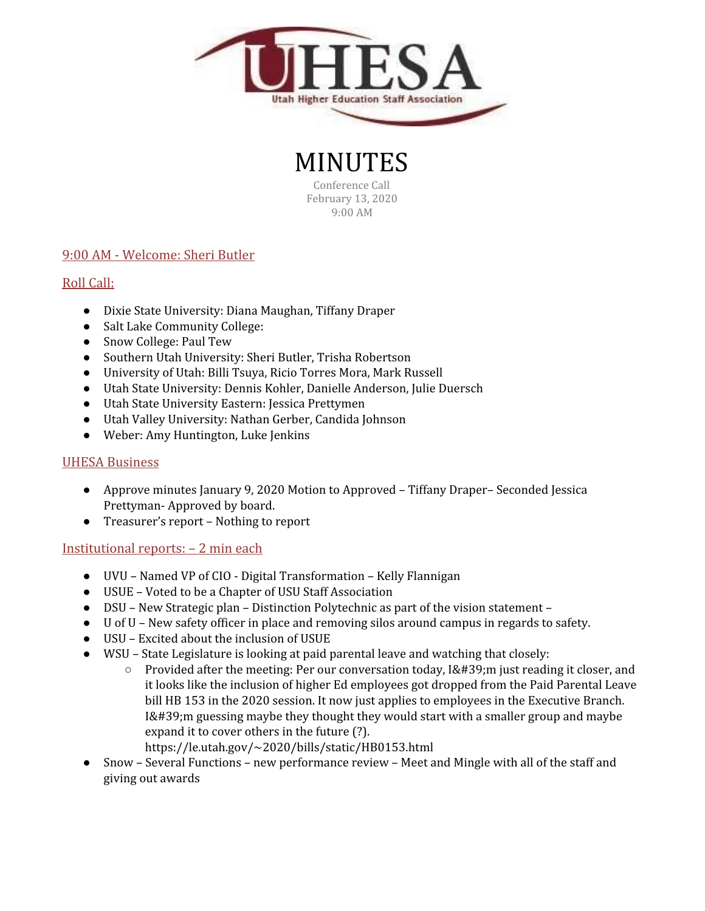

MINUTES Conference Call

February 13, 2020 9:00 AM

# 9:00 AM - Welcome: Sheri Butler

## Roll Call:

- Dixie State University: Diana Maughan, Tiffany Draper
- Salt Lake Community College:
- Snow College: Paul Tew
- Southern Utah University: Sheri Butler, Trisha Robertson
- University of Utah: Billi Tsuya, Ricio Torres Mora, Mark Russell
- Utah State University: Dennis Kohler, Danielle Anderson, Julie Duersch
- Utah State University Eastern: Jessica Prettymen
- Utah Valley University: Nathan Gerber, Candida Johnson
- Weber: Amy Huntington, Luke Jenkins

#### UHESA Business

- Approve minutes January 9, 2020 Motion to Approved Tiffany Draper– Seconded Jessica Prettyman- Approved by board.
- Treasurer's report Nothing to report

#### Institutional reports: – 2 min each

- UVU Named VP of CIO Digital Transformation Kelly Flannigan
- USUE Voted to be a Chapter of USU Staff Association
- DSU New Strategic plan Distinction Polytechnic as part of the vision statement –
- U of U New safety officer in place and removing silos around campus in regards to safety.
- USU Excited about the inclusion of USUE
- WSU State Legislature is looking at paid parental leave and watching that closely:
	- $\circ$  Provided after the meeting: Per our conversation today, I' m just reading it closer, and it looks like the inclusion of higher Ed employees got dropped from the Paid Parental Leave bill HB 153 in the 2020 session. It now just applies to employees in the Executive Branch.  $I'$ ; m guessing maybe they thought they would start with a smaller group and maybe expand it to cover others in the future (?). https://le.utah.gov/~2020/bills/static/HB0153.html
- Snow Several Functions new performance review Meet and Mingle with all of the staff and giving out awards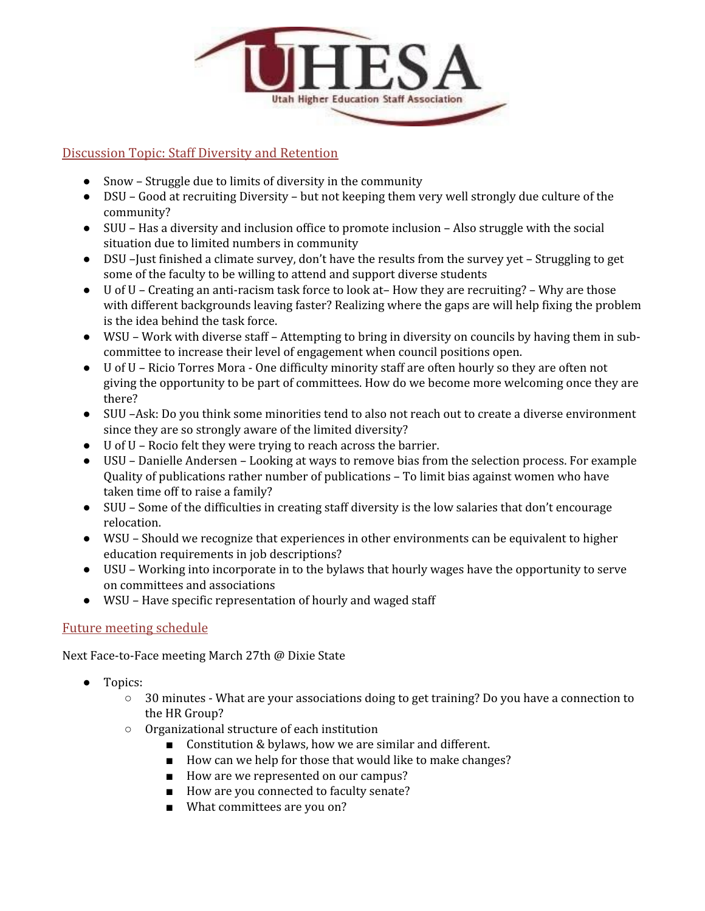

### Discussion Topic: Staff Diversity and Retention

- Snow Struggle due to limits of diversity in the community
- DSU Good at recruiting Diversity but not keeping them very well strongly due culture of the community?
- SUU Has a diversity and inclusion office to promote inclusion Also struggle with the social situation due to limited numbers in community
- DSU –Just finished a climate survey, don't have the results from the survey yet Struggling to get some of the faculty to be willing to attend and support diverse students
- U of U Creating an anti-racism task force to look at– How they are recruiting? Why are those with different backgrounds leaving faster? Realizing where the gaps are will help fixing the problem is the idea behind the task force.
- WSU Work with diverse staff Attempting to bring in diversity on councils by having them in subcommittee to increase their level of engagement when council positions open.
- U of U Ricio Torres Mora One difficulty minority staff are often hourly so they are often not giving the opportunity to be part of committees. How do we become more welcoming once they are there?
- SUU –Ask: Do you think some minorities tend to also not reach out to create a diverse environment since they are so strongly aware of the limited diversity?
- U of U Rocio felt they were trying to reach across the barrier.
- USU Danielle Andersen Looking at ways to remove bias from the selection process. For example Quality of publications rather number of publications – To limit bias against women who have taken time off to raise a family?
- SUU Some of the difficulties in creating staff diversity is the low salaries that don't encourage relocation.
- WSU Should we recognize that experiences in other environments can be equivalent to higher education requirements in job descriptions?
- USU Working into incorporate in to the bylaws that hourly wages have the opportunity to serve on committees and associations
- WSU Have specific representation of hourly and waged staff

### Future meeting schedule

Next Face-to-Face meeting March 27th @ Dixie State

- Topics:
	- 30 minutes What are your associations doing to get training? Do you have a connection to the HR Group?
	- Organizational structure of each institution
		- Constitution & bylaws, how we are similar and different.
		- How can we help for those that would like to make changes?
		- How are we represented on our campus?
		- How are you connected to faculty senate?
		- What committees are you on?